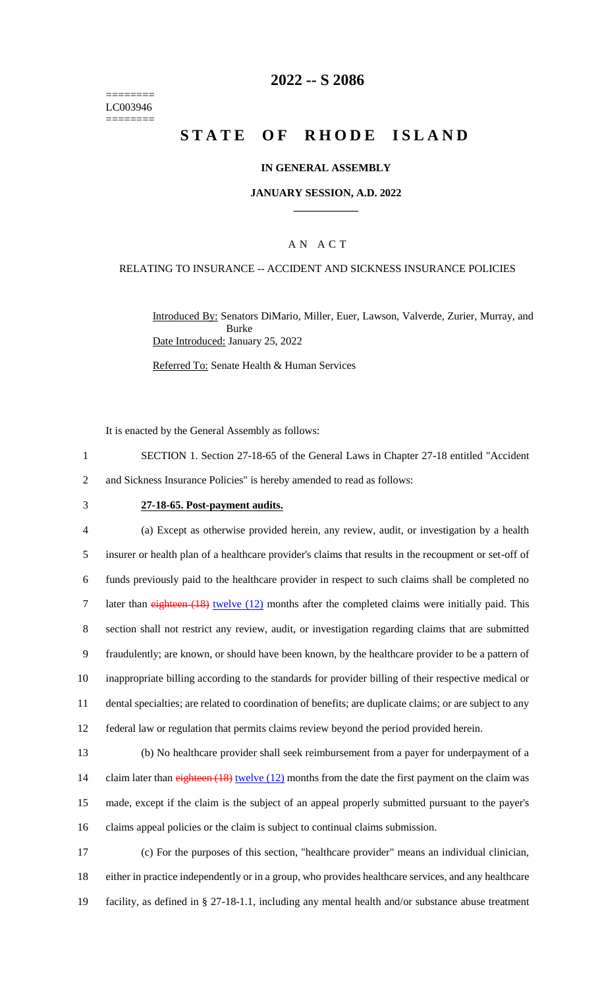======== LC003946 ========

## **2022 -- S 2086**

# **STATE OF RHODE ISLAND**

### **IN GENERAL ASSEMBLY**

### **JANUARY SESSION, A.D. 2022 \_\_\_\_\_\_\_\_\_\_\_\_**

## A N A C T

### RELATING TO INSURANCE -- ACCIDENT AND SICKNESS INSURANCE POLICIES

Introduced By: Senators DiMario, Miller, Euer, Lawson, Valverde, Zurier, Murray, and Burke Date Introduced: January 25, 2022

Referred To: Senate Health & Human Services

It is enacted by the General Assembly as follows:

1 SECTION 1. Section 27-18-65 of the General Laws in Chapter 27-18 entitled "Accident 2 and Sickness Insurance Policies" is hereby amended to read as follows:

### 3 **27-18-65. Post-payment audits.**

 (a) Except as otherwise provided herein, any review, audit, or investigation by a health insurer or health plan of a healthcare provider's claims that results in the recoupment or set-off of funds previously paid to the healthcare provider in respect to such claims shall be completed no 7 later than eighteen (18) twelve (12) months after the completed claims were initially paid. This section shall not restrict any review, audit, or investigation regarding claims that are submitted fraudulently; are known, or should have been known, by the healthcare provider to be a pattern of inappropriate billing according to the standards for provider billing of their respective medical or dental specialties; are related to coordination of benefits; are duplicate claims; or are subject to any federal law or regulation that permits claims review beyond the period provided herein.

 (b) No healthcare provider shall seek reimbursement from a payer for underpayment of a 14 claim later than eighteen (18) twelve (12) months from the date the first payment on the claim was made, except if the claim is the subject of an appeal properly submitted pursuant to the payer's claims appeal policies or the claim is subject to continual claims submission.

17 (c) For the purposes of this section, "healthcare provider" means an individual clinician, 18 either in practice independently or in a group, who provides healthcare services, and any healthcare 19 facility, as defined in § 27-18-1.1, including any mental health and/or substance abuse treatment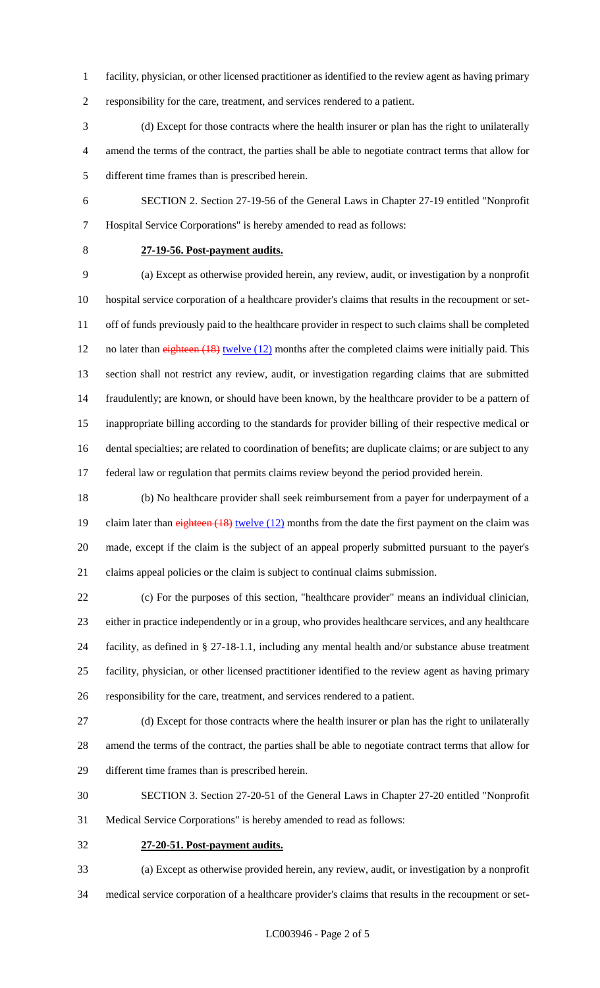- facility, physician, or other licensed practitioner as identified to the review agent as having primary
- responsibility for the care, treatment, and services rendered to a patient.
- (d) Except for those contracts where the health insurer or plan has the right to unilaterally amend the terms of the contract, the parties shall be able to negotiate contract terms that allow for different time frames than is prescribed herein.
- SECTION 2. Section 27-19-56 of the General Laws in Chapter 27-19 entitled "Nonprofit Hospital Service Corporations" is hereby amended to read as follows:
- 

## **27-19-56. Post-payment audits.**

 (a) Except as otherwise provided herein, any review, audit, or investigation by a nonprofit hospital service corporation of a healthcare provider's claims that results in the recoupment or set- off of funds previously paid to the healthcare provider in respect to such claims shall be completed 12 no later than eighteen (18) twelve (12) months after the completed claims were initially paid. This section shall not restrict any review, audit, or investigation regarding claims that are submitted fraudulently; are known, or should have been known, by the healthcare provider to be a pattern of inappropriate billing according to the standards for provider billing of their respective medical or dental specialties; are related to coordination of benefits; are duplicate claims; or are subject to any federal law or regulation that permits claims review beyond the period provided herein.

 (b) No healthcare provider shall seek reimbursement from a payer for underpayment of a 19 claim later than eighteen (18) twelve (12) months from the date the first payment on the claim was made, except if the claim is the subject of an appeal properly submitted pursuant to the payer's claims appeal policies or the claim is subject to continual claims submission.

 (c) For the purposes of this section, "healthcare provider" means an individual clinician, either in practice independently or in a group, who provides healthcare services, and any healthcare facility, as defined in § 27-18-1.1, including any mental health and/or substance abuse treatment facility, physician, or other licensed practitioner identified to the review agent as having primary responsibility for the care, treatment, and services rendered to a patient.

- (d) Except for those contracts where the health insurer or plan has the right to unilaterally amend the terms of the contract, the parties shall be able to negotiate contract terms that allow for different time frames than is prescribed herein.
- SECTION 3. Section 27-20-51 of the General Laws in Chapter 27-20 entitled "Nonprofit Medical Service Corporations" is hereby amended to read as follows:
- **27-20-51. Post-payment audits.**

 (a) Except as otherwise provided herein, any review, audit, or investigation by a nonprofit medical service corporation of a healthcare provider's claims that results in the recoupment or set-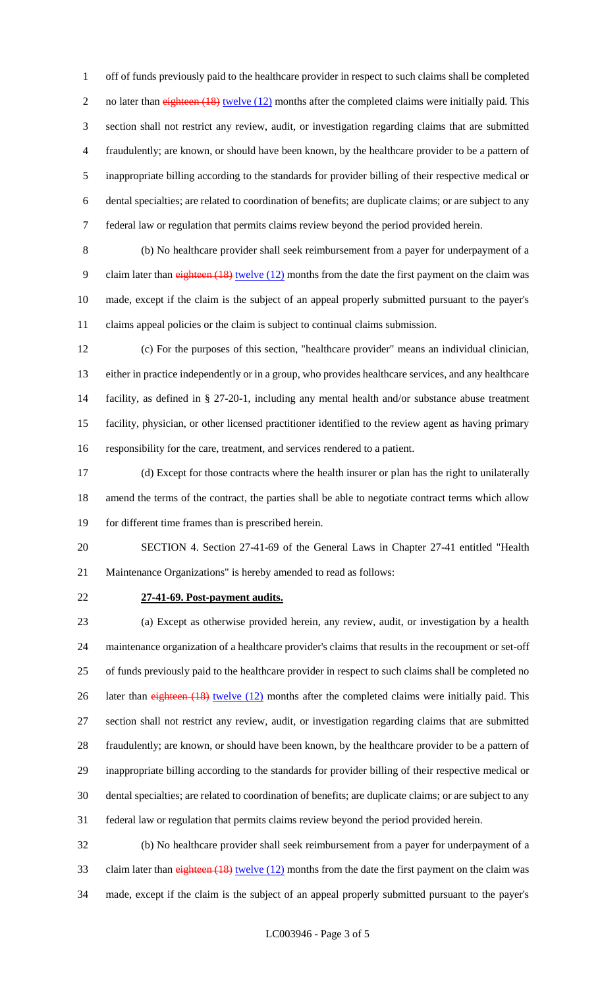off of funds previously paid to the healthcare provider in respect to such claims shall be completed 2 no later than eighteen (18) twelve (12) months after the completed claims were initially paid. This section shall not restrict any review, audit, or investigation regarding claims that are submitted fraudulently; are known, or should have been known, by the healthcare provider to be a pattern of inappropriate billing according to the standards for provider billing of their respective medical or dental specialties; are related to coordination of benefits; are duplicate claims; or are subject to any federal law or regulation that permits claims review beyond the period provided herein.

 (b) No healthcare provider shall seek reimbursement from a payer for underpayment of a 9 claim later than eighteen (18) twelve (12) months from the date the first payment on the claim was made, except if the claim is the subject of an appeal properly submitted pursuant to the payer's claims appeal policies or the claim is subject to continual claims submission.

 (c) For the purposes of this section, "healthcare provider" means an individual clinician, either in practice independently or in a group, who provides healthcare services, and any healthcare facility, as defined in § 27-20-1, including any mental health and/or substance abuse treatment facility, physician, or other licensed practitioner identified to the review agent as having primary responsibility for the care, treatment, and services rendered to a patient.

 (d) Except for those contracts where the health insurer or plan has the right to unilaterally amend the terms of the contract, the parties shall be able to negotiate contract terms which allow for different time frames than is prescribed herein.

 SECTION 4. Section 27-41-69 of the General Laws in Chapter 27-41 entitled "Health Maintenance Organizations" is hereby amended to read as follows:

### **27-41-69. Post-payment audits.**

 (a) Except as otherwise provided herein, any review, audit, or investigation by a health maintenance organization of a healthcare provider's claims that results in the recoupment or set-off of funds previously paid to the healthcare provider in respect to such claims shall be completed no 26 later than eighteen (18) twelve (12) months after the completed claims were initially paid. This section shall not restrict any review, audit, or investigation regarding claims that are submitted fraudulently; are known, or should have been known, by the healthcare provider to be a pattern of inappropriate billing according to the standards for provider billing of their respective medical or dental specialties; are related to coordination of benefits; are duplicate claims; or are subject to any federal law or regulation that permits claims review beyond the period provided herein.

 (b) No healthcare provider shall seek reimbursement from a payer for underpayment of a 33 claim later than eighteen (18) twelve (12) months from the date the first payment on the claim was made, except if the claim is the subject of an appeal properly submitted pursuant to the payer's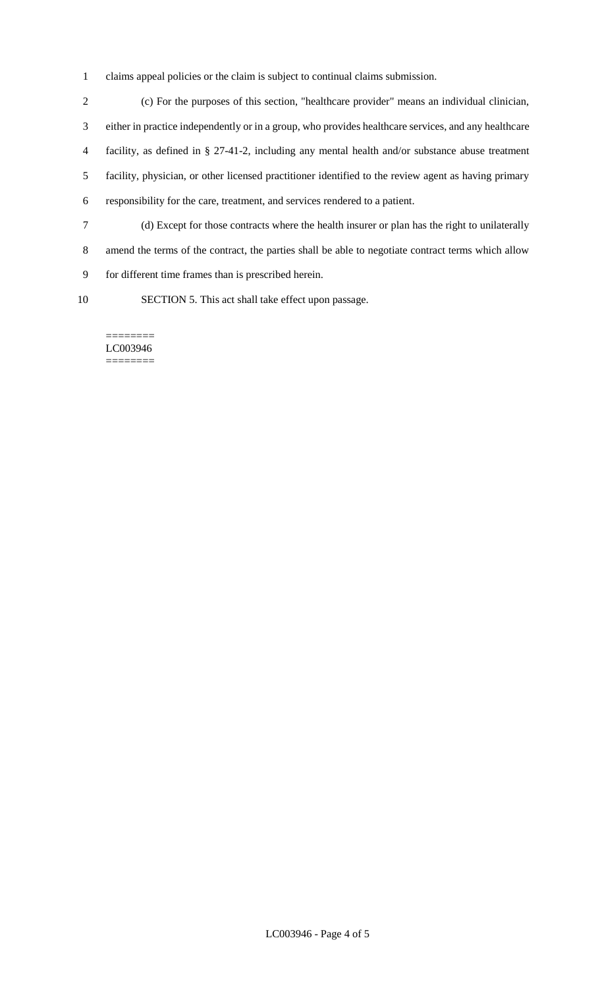claims appeal policies or the claim is subject to continual claims submission.

 (c) For the purposes of this section, "healthcare provider" means an individual clinician, either in practice independently or in a group, who provides healthcare services, and any healthcare facility, as defined in § 27-41-2, including any mental health and/or substance abuse treatment facility, physician, or other licensed practitioner identified to the review agent as having primary responsibility for the care, treatment, and services rendered to a patient. (d) Except for those contracts where the health insurer or plan has the right to unilaterally amend the terms of the contract, the parties shall be able to negotiate contract terms which allow

- for different time frames than is prescribed herein.
- 

SECTION 5. This act shall take effect upon passage.

======== LC003946 ========